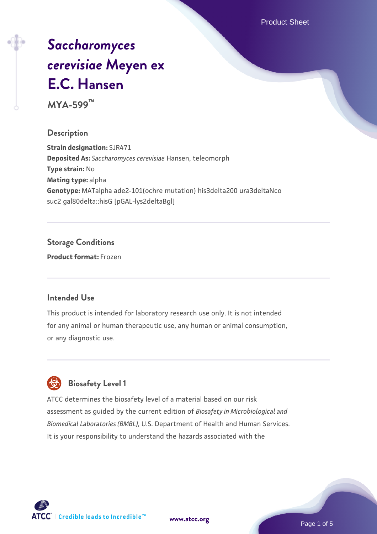Product Sheet

# *[Saccharomyces](https://www.atcc.org/products/mya-599) [cerevisiae](https://www.atcc.org/products/mya-599)* **[Meyen ex](https://www.atcc.org/products/mya-599) [E.C. Hansen](https://www.atcc.org/products/mya-599)**

**MYA-599™**

### **Description**

**Strain designation:** SJR471 **Deposited As:** *Saccharomyces cerevisiae* Hansen, teleomorph **Type strain:** No **Mating type:** alpha **Genotype:** MATalpha ade2-101(ochre mutation) his3delta200 ura3deltaNco suc2 gal80delta::hisG [pGAL-lys2deltaBgl]

### **Storage Conditions**

**Product format:** Frozen

### **Intended Use**

This product is intended for laboratory research use only. It is not intended for any animal or human therapeutic use, any human or animal consumption, or any diagnostic use.



### **Biosafety Level 1**

ATCC determines the biosafety level of a material based on our risk assessment as guided by the current edition of *Biosafety in Microbiological and Biomedical Laboratories (BMBL)*, U.S. Department of Health and Human Services. It is your responsibility to understand the hazards associated with the

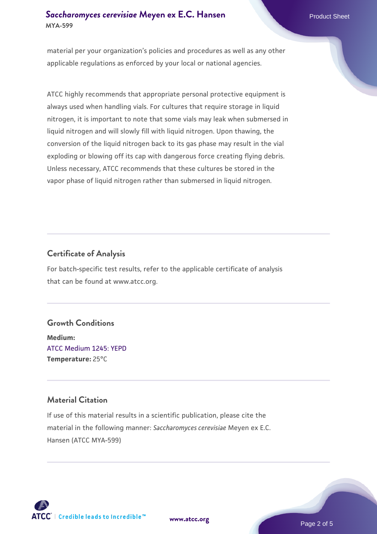### **[Saccharomyces cerevisiae](https://www.atcc.org/products/mya-599)** [Meyen ex E.C. Hansen](https://www.atcc.org/products/mya-599) **MYA-599**

material per your organization's policies and procedures as well as any other applicable regulations as enforced by your local or national agencies.

ATCC highly recommends that appropriate personal protective equipment is always used when handling vials. For cultures that require storage in liquid nitrogen, it is important to note that some vials may leak when submersed in liquid nitrogen and will slowly fill with liquid nitrogen. Upon thawing, the conversion of the liquid nitrogen back to its gas phase may result in the vial exploding or blowing off its cap with dangerous force creating flying debris. Unless necessary, ATCC recommends that these cultures be stored in the vapor phase of liquid nitrogen rather than submersed in liquid nitrogen.

### **Certificate of Analysis**

For batch-specific test results, refer to the applicable certificate of analysis that can be found at www.atcc.org.

### **Growth Conditions**

**Medium:**  [ATCC Medium 1245: YEPD](https://www.atcc.org/-/media/product-assets/documents/microbial-media-formulations/1/2/4/5/atcc-medium-1245.pdf?rev=705ca55d1b6f490a808a965d5c072196) **Temperature:** 25°C

### **Material Citation**

If use of this material results in a scientific publication, please cite the material in the following manner: *Saccharomyces cerevisiae* Meyen ex E.C. Hansen (ATCC MYA-599)



**[www.atcc.org](http://www.atcc.org)**

Page 2 of 5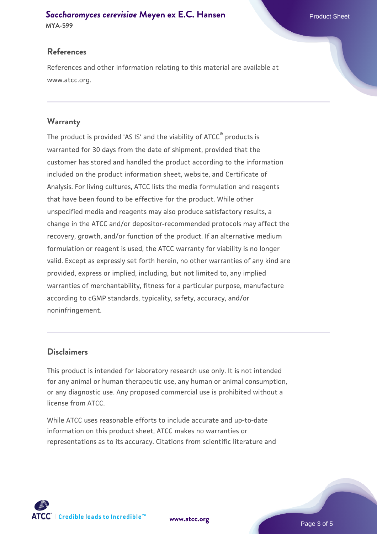## **[Saccharomyces cerevisiae](https://www.atcc.org/products/mya-599)** [Meyen ex E.C. Hansen](https://www.atcc.org/products/mya-599)

**MYA-599**

### **References**

References and other information relating to this material are available at www.atcc.org.

### **Warranty**

The product is provided 'AS IS' and the viability of ATCC® products is warranted for 30 days from the date of shipment, provided that the customer has stored and handled the product according to the information included on the product information sheet, website, and Certificate of Analysis. For living cultures, ATCC lists the media formulation and reagents that have been found to be effective for the product. While other unspecified media and reagents may also produce satisfactory results, a change in the ATCC and/or depositor-recommended protocols may affect the recovery, growth, and/or function of the product. If an alternative medium formulation or reagent is used, the ATCC warranty for viability is no longer valid. Except as expressly set forth herein, no other warranties of any kind are provided, express or implied, including, but not limited to, any implied warranties of merchantability, fitness for a particular purpose, manufacture according to cGMP standards, typicality, safety, accuracy, and/or noninfringement.

### **Disclaimers**

This product is intended for laboratory research use only. It is not intended for any animal or human therapeutic use, any human or animal consumption, or any diagnostic use. Any proposed commercial use is prohibited without a license from ATCC.

While ATCC uses reasonable efforts to include accurate and up-to-date information on this product sheet, ATCC makes no warranties or representations as to its accuracy. Citations from scientific literature and

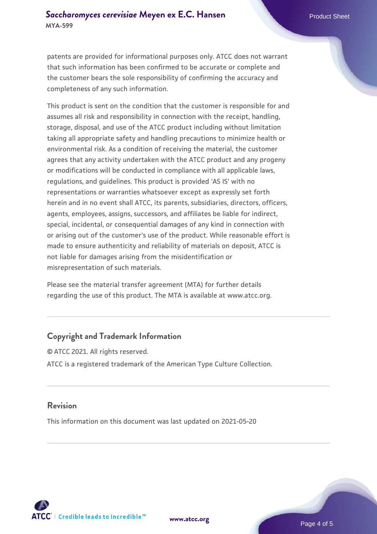patents are provided for informational purposes only. ATCC does not warrant that such information has been confirmed to be accurate or complete and the customer bears the sole responsibility of confirming the accuracy and completeness of any such information.

This product is sent on the condition that the customer is responsible for and assumes all risk and responsibility in connection with the receipt, handling, storage, disposal, and use of the ATCC product including without limitation taking all appropriate safety and handling precautions to minimize health or environmental risk. As a condition of receiving the material, the customer agrees that any activity undertaken with the ATCC product and any progeny or modifications will be conducted in compliance with all applicable laws, regulations, and guidelines. This product is provided 'AS IS' with no representations or warranties whatsoever except as expressly set forth herein and in no event shall ATCC, its parents, subsidiaries, directors, officers, agents, employees, assigns, successors, and affiliates be liable for indirect, special, incidental, or consequential damages of any kind in connection with or arising out of the customer's use of the product. While reasonable effort is made to ensure authenticity and reliability of materials on deposit, ATCC is not liable for damages arising from the misidentification or misrepresentation of such materials.

Please see the material transfer agreement (MTA) for further details regarding the use of this product. The MTA is available at www.atcc.org.

### **Copyright and Trademark Information**

© ATCC 2021. All rights reserved. ATCC is a registered trademark of the American Type Culture Collection.

### **Revision**

This information on this document was last updated on 2021-05-20



**[www.atcc.org](http://www.atcc.org)**